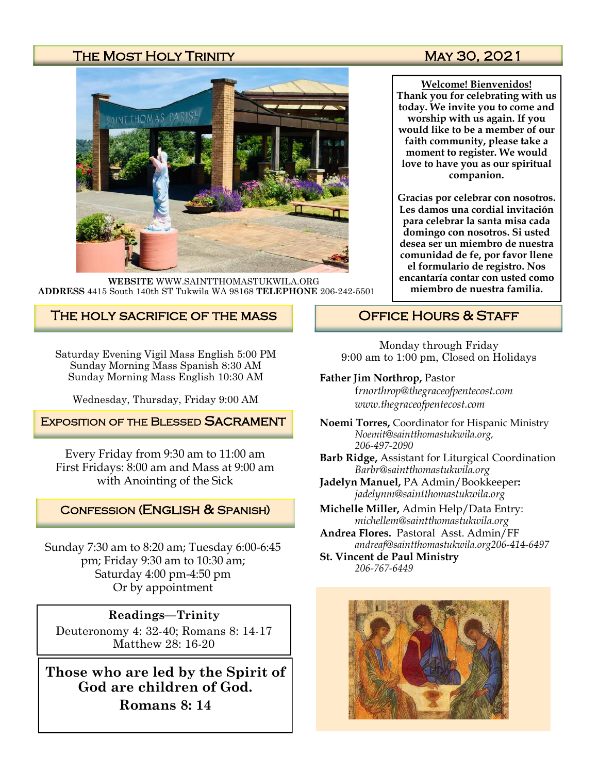# THE MOST HOLY TRINITY MAY 30, 2021



**WEBSITE** WWW.SAINTTHOMASTUKWILA.ORG **ADDRESS** 4415 South 140th ST Tukwila WA 98168 **TELEPHONE** 206-242-5501

# The holy sacrifice of the mass

Saturday Evening Vigil Mass English 5:00 PM Sunday Morning Mass Spanish 8:30 AM Sunday Morning Mass English 10:30 AM

Wednesday, Thursday, Friday 9:00 AM

## **EXPOSITION OF THE BLESSED SACRAMENT**

Every Friday from 9:30 am to 11:00 am First Fridays: 8:00 am and Mass at 9:00 am with Anointing of the Sick

## Confession (English & Spanish)

Sunday 7:30 am to 8:20 am; Tuesday 6:00-6:45 pm; Friday 9:30 am to 10:30 am; Saturday 4:00 pm-4:50 pm Or by appointment

## **Readings—Trinity**

Deuteronomy 4: 32-40; Romans 8: 14-17 Matthew 28: 16-20

**Those who are led by the Spirit of God are children of God. Romans 8: 14**

**Welcome! Bienvenidos! Thank you for celebrating with us today. We invite you to come and worship with us again. If you would like to be a member of our faith community, please take a moment to register. We would love to have you as our spiritual companion.** 

**Gracias por celebrar con nosotros. Les damos una cordial invitación para celebrar la santa misa cada domingo con nosotros. Si usted desea ser un miembro de nuestra comunidad de fe, por favor llene el formulario de registro. Nos encantaría contar con usted como miembro de nuestra familia.**

# OFFICE HOURS & STAFF

Monday through Friday 9:00 am to 1:00 pm, Closed on Holidays

### **Father Jim Northrop,** Pastor

f*rnorthrop@thegraceofpentecost.com www.thegraceofpentecost.com* 

- **Noemi Torres,** Coordinator for Hispanic Ministry *Noemit@saintthomastukwila.org, 206-497-2090*
- **Barb Ridge,** Assistant for Liturgical Coordination *Barbr@saintthomastukwila.org*
- **Jadelyn Manuel,** PA Admin/Bookkeeper**:**  *jadelynm@saintthomastukwila.org*
- **Michelle Miller,** Admin Help/Data Entry: *michellem@saintthomastukwila.org*
- **Andrea Flores.** Pastoral Asst. Admin/FF *andreaf@saintthomastukwila.org206-414-6497*

**St. Vincent de Paul Ministry** *206-767-6449*

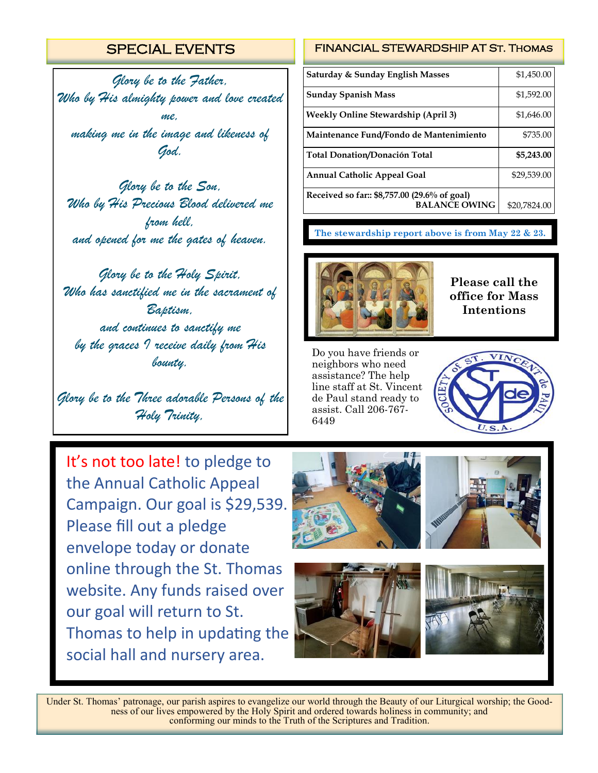# SPECIAL EVENTS

*Glory be to the Father, Who by His almighty power and love created me, making me in the image and likeness of God.*

*Glory be to the Son, Who by His Precious Blood delivered me from hell, and opened for me the gates of heaven.*

*Glory be to the Holy Spirit, Who has sanctified me in the sacrament of Baptism, and continues to sanctify me by the graces I receive daily from His bounty.*

*Glory be to the Three adorable Persons of the Holy Trinity,*

FINANCIAL STEWARDSHIP AT St. Thomas

| Saturday & Sunday English Masses                                     | \$1,450.00   |
|----------------------------------------------------------------------|--------------|
| <b>Sunday Spanish Mass</b>                                           | \$1,592.00   |
| <b>Weekly Online Stewardship (April 3)</b>                           | \$1,646.00   |
| Maintenance Fund/Fondo de Mantenimiento                              | \$735.00     |
| <b>Total Donation/Donación Total</b>                                 | \$5,243.00   |
| <b>Annual Catholic Appeal Goal</b>                                   | \$29,539.00  |
| Received so far:: \$8,757.00 (29.6% of goal)<br><b>BALANCE OWING</b> | \$20,7824.00 |

**The stewardship report above is from May 22 & 23.**



**Please call the office for Mass Intentions**

Do you have friends or neighbors who need assistance? The help line staff at St. Vincent de Paul stand ready to assist. Call 206-767- 6449



It's not too late! to pledge to the Annual Catholic Appeal Campaign. Our goal is \$29,539. Please fill out a pledge envelope today or donate online through the St. Thomas website. Any funds raised over our goal will return to St. Thomas to help in updating the social hall and nursery area.









Under St. Thomas' patronage, our parish aspires to evangelize our world through the Beauty of our Liturgical worship; the Goodness of our lives empowered by the Holy Spirit and ordered towards holiness in community; and conforming our minds to the Truth of the Scriptures and Tradition.